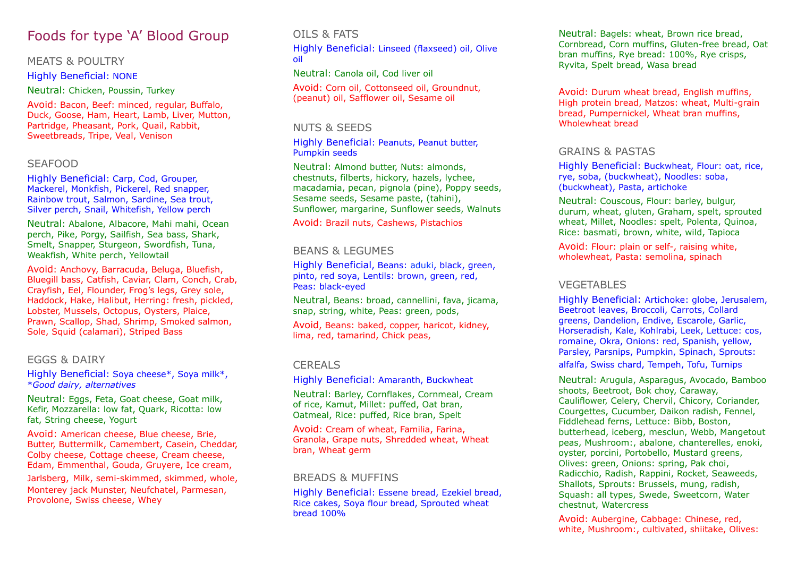# Foods for type 'A' Blood Group

#### MEATS & POULTRY

Highly Beneficial: NONE

Neutral: Chicken, Poussin, Turkey

Avoid: Bacon, Beef: minced, regular, Buffalo, Duck, Goose, Ham, Heart, Lamb, Liver, Mutton, Partridge, Pheasant, Pork, Quail, Rabbit, Sweetbreads, Tripe, Veal, Venison

#### SEAFOOD

Highly Beneficial: Carp, Cod, Grouper, Mackerel, Monkfish, Pickerel, Red snapper, Rainbow trout, Salmon, Sardine, Sea trout, Silver perch, Snail, Whitefish, Yellow perch

Neutral: Abalone, Albacore, Mahi mahi, Ocean perch, Pike, Porgy, Sailfish, Sea bass, Shark, Smelt, Snapper, Sturgeon, Swordfish, Tuna, Weakfish, White perch, Yellowtail

Avoid: Anchovy, Barracuda, Beluga, Bluefish, Bluegill bass, Catfish, Caviar, Clam, Conch, Crab, Crayfish, Eel, Flounder, Frog's legs, Grey sole, Haddock, Hake, Halibut, Herring: fresh, pickled, Lobster, Mussels, Octopus, Oysters, Plaice, Prawn, Scallop, Shad, Shrimp, Smoked salmon, Sole, Squid (calamari), Striped Bass

#### EGGS & DAIRY

Highly Beneficial: Soya cheese\*, Soya milk\*, \**Good dairy, alternatives*

Neutral: Eggs, Feta, Goat cheese, Goat milk, Kefir, Mozzarella: low fat, Quark, Ricotta: low fat, String cheese, Yogurt

Avoid: American cheese, Blue cheese, Brie, Butter, Buttermilk, Camembert, Casein, Cheddar, Colby cheese, Cottage cheese, Cream cheese, Edam, Emmenthal, Gouda, Gruyere, Ice cream, Jarlsberg, Milk, semi-skimmed, skimmed, whole, Monterey jack Munster, Neufchatel, Parmesan, Provolone, Swiss cheese, Whey

### OILS & FATS

Highly Beneficial: Linseed (flaxseed) oil, Olive oil

Neutral: Canola oil, Cod liver oil

Avoid: Corn oil, Cottonseed oil, Groundnut, (peanut) oil, Safflower oil, Sesame oil

#### NUTS & SEEDS

Highly Beneficial: Peanuts, Peanut butter, Pumpkin seeds

Neutral: Almond butter, Nuts: almonds, chestnuts, filberts, hickory, hazels, lychee, macadamia, pecan, pignola (pine), Poppy seeds, Sesame seeds, Sesame paste, (tahini), Sunflower, margarine, Sunflower seeds, Walnuts

Avoid: Brazil nuts, Cashews, Pistachios

#### BEANS & LEGUMES

Highly Beneficial, Beans: aduki, black, green, pinto, red soya, Lentils: brown, green, red, Peas: black-eyed

Neutral, Beans: broad, cannellini, fava, jicama, snap, string, white, Peas: green, pods,

Avoid, Beans: baked, copper, haricot, kidney, lima, red, tamarind, Chick peas,

## CEREALS

Highly Beneficial: Amaranth, Buckwheat

Neutral: Barley, Cornflakes, Cornmeal, Cream of rice, Kamut, Millet: puffed, Oat bran, Oatmeal, Rice: puffed, Rice bran, Spelt

Avoid: Cream of wheat, Familia, Farina, Granola, Grape nuts, Shredded wheat, Wheat bran, Wheat germ

#### BREADS & MUFFINS

Highly Beneficial: Essene bread, Ezekiel bread, Rice cakes, Soya flour bread, Sprouted wheat bread 100%

Neutral: Bagels: wheat, Brown rice bread, Cornbread, Corn muffins, Gluten-free bread, Oat bran muffins, Rye bread: 100%, Rye crisps, Ryvita, Spelt bread, Wasa bread

Avoid: Durum wheat bread, English muffins, High protein bread, Matzos: wheat, Multi-grain bread, Pumpernickel, Wheat bran muffins, Wholewheat bread

#### GRAINS & PASTAS

Highly Beneficial: Buckwheat, Flour: oat, rice, rye, soba, (buckwheat), Noodles: soba, (buckwheat), Pasta, artichoke

Neutral: Couscous, Flour: barley, bulgur, durum, wheat, gluten, Graham, spelt, sprouted wheat, Millet, Noodles: spelt, Polenta, Quinoa, Rice: basmati, brown, white, wild, Tapioca

Avoid: Flour: plain or self-, raising white, wholewheat, Pasta: semolina, spinach

#### VEGETABLES

Highly Beneficial: Artichoke: globe, Jerusalem, Beetroot leaves, Broccoli, Carrots, Collard greens, Dandelion, Endive, Escarole, Garlic, Horseradish, Kale, Kohlrabi, Leek, Lettuce: cos, romaine, Okra, Onions: red, Spanish, yellow, Parsley, Parsnips, Pumpkin, Spinach, Sprouts:

alfalfa, Swiss chard, Tempeh, Tofu, Turnips

Neutral: Arugula, Asparagus, Avocado, Bamboo shoots, Beetroot, Bok choy, Caraway, Cauliflower, Celery, Chervil, Chicory, Coriander, Courgettes, Cucumber, Daikon radish, Fennel, Fiddlehead ferns, Lettuce: Bibb, Boston, butterhead, iceberg, mesclun, Webb, Mangetout peas, Mushroom:, abalone, chanterelles, enoki, oyster, porcini, Portobello, Mustard greens, Olives: green, Onions: spring, Pak choi, Radicchio, Radish, Rappini, Rocket, Seaweeds, Shallots, Sprouts: Brussels, mung, radish, Squash: all types, Swede, Sweetcorn, Water chestnut, Watercress

Avoid: Aubergine, Cabbage: Chinese, red, white, Mushroom:, cultivated, shiitake, Olives: